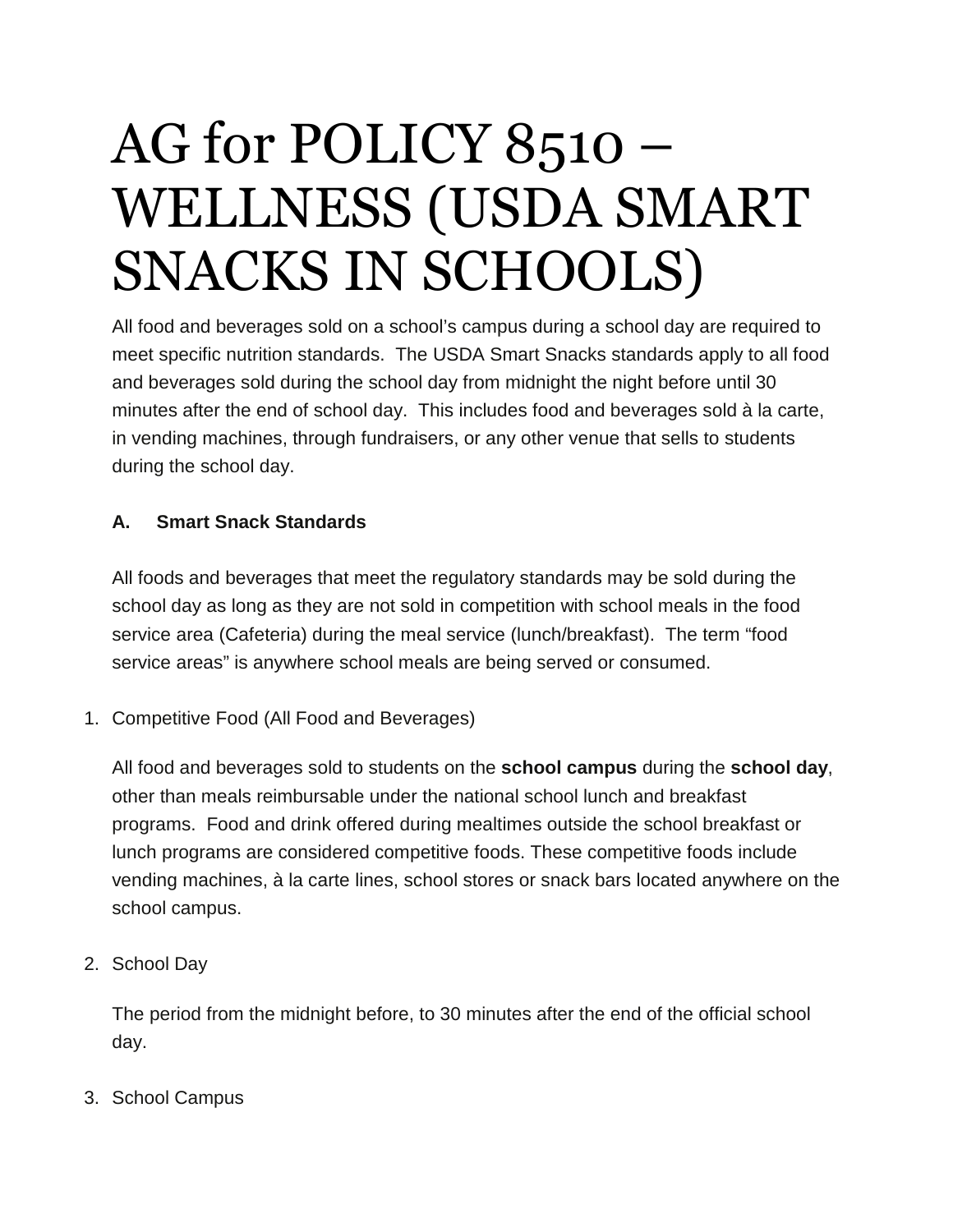# AG for POLICY 8510 – WELLNESS (USDA SMART SNACKS IN SCHOOLS)

All food and beverages sold on a school's campus during a school day are required to meet specific nutrition standards. The USDA Smart Snacks standards apply to all food and beverages sold during the school day from midnight the night before until 30 minutes after the end of school day. This includes food and beverages sold à la carte, in vending machines, through fundraisers, or any other venue that sells to students during the school day.

## **A. Smart Snack Standards**

All foods and beverages that meet the regulatory standards may be sold during the school day as long as they are not sold in competition with school meals in the food service area (Cafeteria) during the meal service (lunch/breakfast). The term "food service areas" is anywhere school meals are being served or consumed.

1. Competitive Food (All Food and Beverages)

All food and beverages sold to students on the **school campus** during the **school day**, other than meals reimbursable under the national school lunch and breakfast programs. Food and drink offered during mealtimes outside the school breakfast or lunch programs are considered competitive foods. These competitive foods include vending machines, à la carte lines, school stores or snack bars located anywhere on the school campus.

2. School Day

The period from the midnight before, to 30 minutes after the end of the official school day.

3. School Campus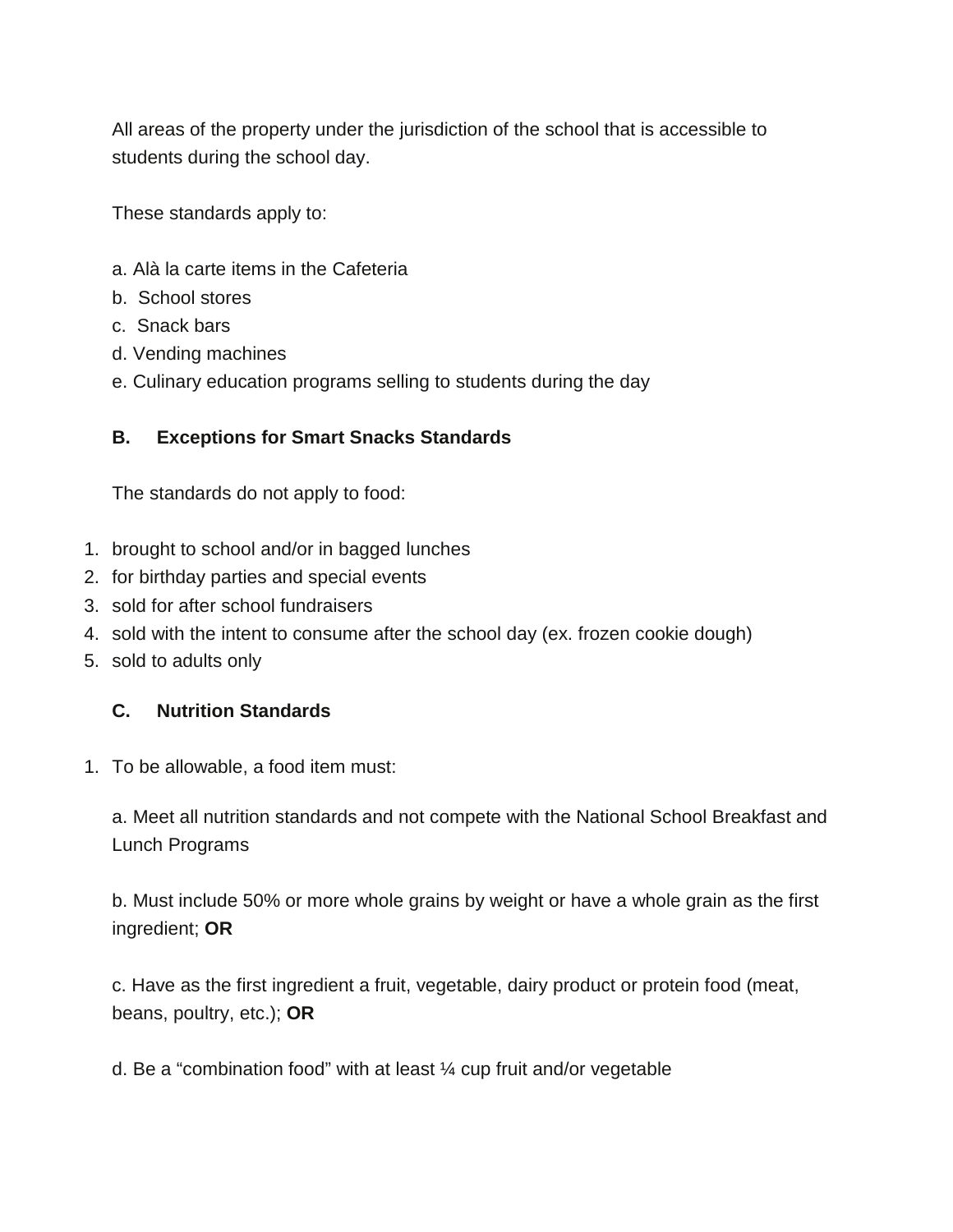All areas of the property under the jurisdiction of the school that is accessible to students during the school day.

These standards apply to:

- a. Alà la carte items in the Cafeteria
- b. School stores
- c. Snack bars
- d. Vending machines
- e. Culinary education programs selling to students during the day

#### **B. Exceptions for Smart Snacks Standards**

The standards do not apply to food:

- 1. brought to school and/or in bagged lunches
- 2. for birthday parties and special events
- 3. sold for after school fundraisers
- 4. sold with the intent to consume after the school day (ex. frozen cookie dough)
- 5. sold to adults only

#### **C. Nutrition Standards**

1. To be allowable, a food item must:

a. Meet all nutrition standards and not compete with the National School Breakfast and Lunch Programs

b. Must include 50% or more whole grains by weight or have a whole grain as the first ingredient; **OR**

c. Have as the first ingredient a fruit, vegetable, dairy product or protein food (meat, beans, poultry, etc.); **OR**

d. Be a "combination food" with at least ¼ cup fruit and/or vegetable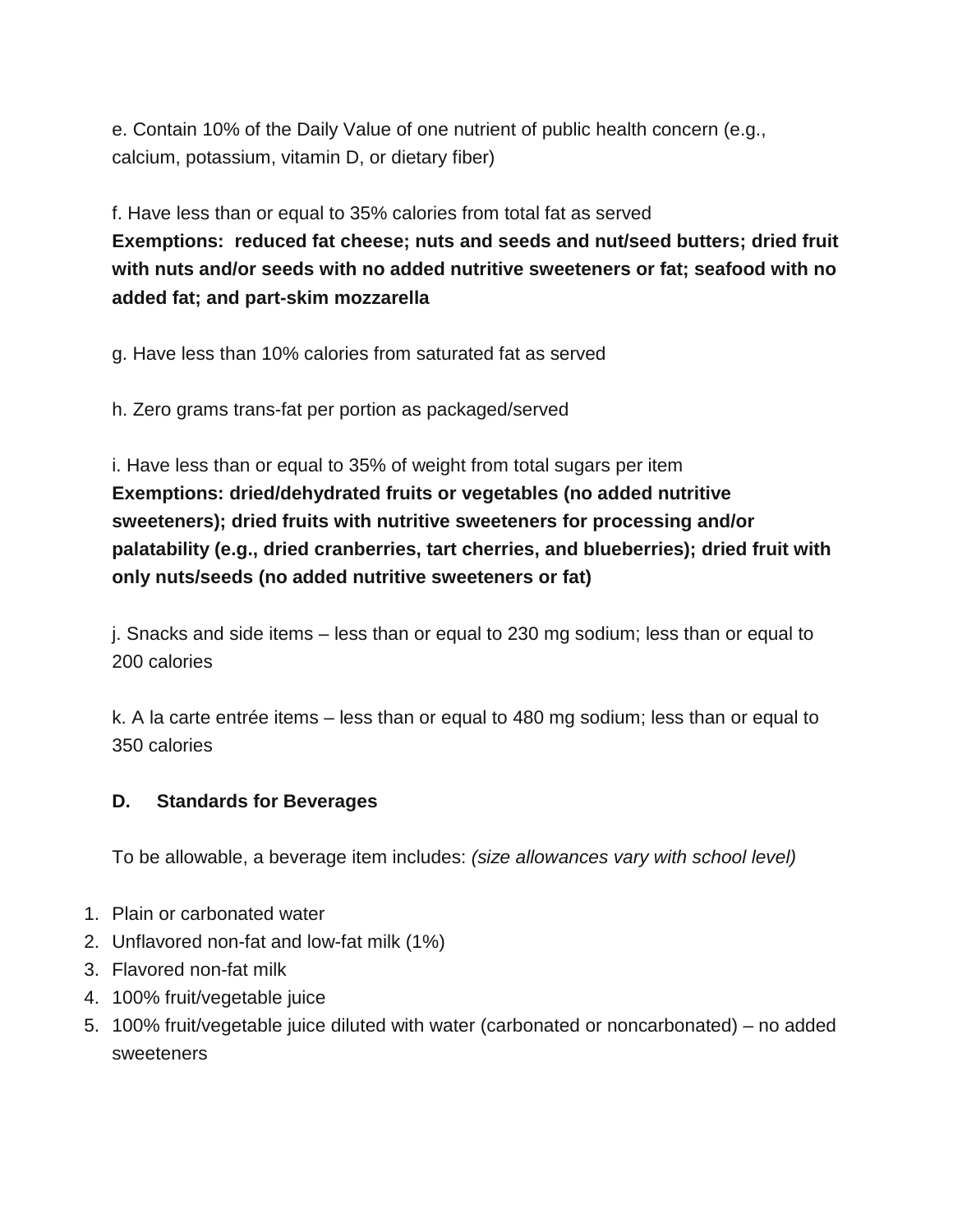e. Contain 10% of the Daily Value of one nutrient of public health concern (e.g., calcium, potassium, vitamin D, or dietary fiber)

f. Have less than or equal to 35% calories from total fat as served **Exemptions: reduced fat cheese; nuts and seeds and nut/seed butters; dried fruit with nuts and/or seeds with no added nutritive sweeteners or fat; seafood with no added fat; and part-skim mozzarella**

g. Have less than 10% calories from saturated fat as served

h. Zero grams trans-fat per portion as packaged/served

i. Have less than or equal to 35% of weight from total sugars per item **Exemptions: dried/dehydrated fruits or vegetables (no added nutritive sweeteners); dried fruits with nutritive sweeteners for processing and/or palatability (e.g., dried cranberries, tart cherries, and blueberries); dried fruit with only nuts/seeds (no added nutritive sweeteners or fat)**

j. Snacks and side items – less than or equal to 230 mg sodium; less than or equal to 200 calories

k. A la carte entrée items – less than or equal to 480 mg sodium; less than or equal to 350 calories

#### **D. Standards for Beverages**

To be allowable, a beverage item includes: (size allowances vary with school level)

- 1. Plain or carbonated water
- 2. Unflavored non-fat and low-fat milk (1%)
- 3. Flavored non-fat milk
- 4. 100% fruit/vegetable juice
- 5. 100% fruit/vegetable juice diluted with water (carbonated or noncarbonated) no added sweeteners